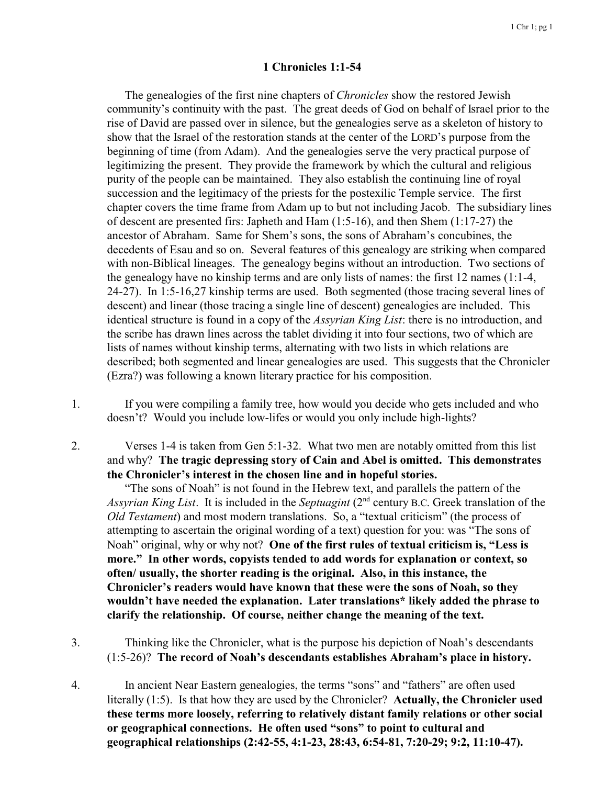## **1 Chronicles 1:1-54**

The genealogies of the first nine chapters of *Chronicles* show the restored Jewish community's continuity with the past. The great deeds of God on behalf of Israel prior to the rise of David are passed over in silence, but the genealogies serve as a skeleton of history to show that the Israel of the restoration stands at the center of the LORD's purpose from the beginning of time (from Adam). And the genealogies serve the very practical purpose of legitimizing the present. They provide the framework by which the cultural and religious purity of the people can be maintained. They also establish the continuing line of royal succession and the legitimacy of the priests for the postexilic Temple service. The first chapter covers the time frame from Adam up to but not including Jacob. The subsidiary lines of descent are presented firs: Japheth and Ham (1:5-16), and then Shem (1:17-27) the ancestor of Abraham. Same for Shem's sons, the sons of Abraham's concubines, the decedents of Esau and so on. Several features of this genealogy are striking when compared with non-Biblical lineages. The genealogy begins without an introduction. Two sections of the genealogy have no kinship terms and are only lists of names: the first 12 names (1:1-4, 24-27). In 1:5-16,27 kinship terms are used. Both segmented (those tracing several lines of descent) and linear (those tracing a single line of descent) genealogies are included. This identical structure is found in a copy of the *Assyrian King List*: there is no introduction, and the scribe has drawn lines across the tablet dividing it into four sections, two of which are lists of names without kinship terms, alternating with two lists in which relations are described; both segmented and linear genealogies are used. This suggests that the Chronicler (Ezra?) was following a known literary practice for his composition.

- 1. If you were compiling a family tree, how would you decide who gets included and who doesn't? Would you include low-lifes or would you only include high-lights?
- 2. Verses 1-4 is taken from Gen 5:1-32. What two men are notably omitted from this list and why? **The tragic depressing story of Cain and Abel is omitted. This demonstrates the Chronicler's interest in the chosen line and in hopeful stories.**

"The sons of Noah" is not found in the Hebrew text, and parallels the pattern of the Assyrian King List. It is included in the Septuagint (2<sup>nd</sup> century B.C. Greek translation of the *Old Testament*) and most modern translations. So, a "textual criticism" (the process of attempting to ascertain the original wording of a text) question for you: was "The sons of Noah" original, why or why not? **One of the first rules of textual criticism is, "Less is more." In other words, copyists tended to add words for explanation or context, so often/ usually, the shorter reading is the original. Also, in this instance, the Chronicler's readers would have known that these were the sons of Noah, so they wouldn't have needed the explanation. Later translations\* likely added the phrase to clarify the relationship. Of course, neither change the meaning of the text.**

- 3. Thinking like the Chronicler, what is the purpose his depiction of Noah's descendants (1:5-26)? **The record of Noah's descendants establishes Abraham's place in history.**
- 4. In ancient Near Eastern genealogies, the terms "sons" and "fathers" are often used literally (1:5). Is that how they are used by the Chronicler? **Actually, the Chronicler used these terms more loosely, referring to relatively distant family relations or other social or geographical connections. He often used "sons" to point to cultural and geographical relationships (2:42-55, 4:1-23, 28:43, 6:54-81, 7:20-29; 9:2, 11:10-47).**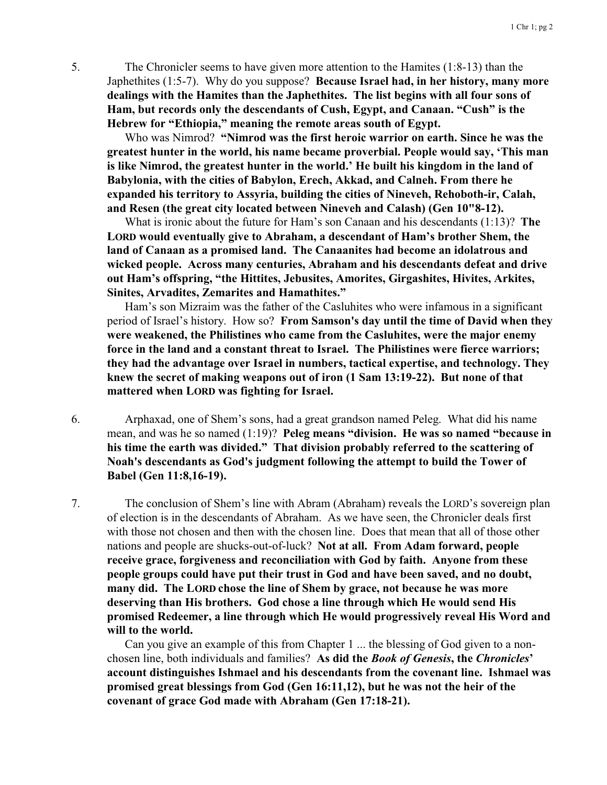5. The Chronicler seems to have given more attention to the Hamites (1:8-13) than the Japhethites (1:5-7). Why do you suppose? **Because Israel had, in her history, many more dealings with the Hamites than the Japhethites. The list begins with all four sons of Ham, but records only the descendants of Cush, Egypt, and Canaan. "Cush" is the Hebrew for "Ethiopia," meaning the remote areas south of Egypt.**

Who was Nimrod? **"Nimrod was the first heroic warrior on earth. Since he was the greatest hunter in the world, his name became proverbial. People would say, 'This man is like Nimrod, the greatest hunter in the world.' He built his kingdom in the land of Babylonia, with the cities of Babylon, Erech, Akkad, and Calneh. From there he expanded his territory to Assyria, building the cities of Nineveh, Rehoboth-ir, Calah, and Resen (the great city located between Nineveh and Calash) (Gen 10"8-12).**

What is ironic about the future for Ham's son Canaan and his descendants (1:13)? **The LORD would eventually give to Abraham, a descendant of Ham's brother Shem, the land of Canaan as a promised land. The Canaanites had become an idolatrous and wicked people. Across many centuries, Abraham and his descendants defeat and drive out Ham's offspring, "the Hittites, Jebusites, Amorites, Girgashites, Hivites, Arkites, Sinites, Arvadites, Zemarites and Hamathites."**

Ham's son Mizraim was the father of the Casluhites who were infamous in a significant period of Israel's history. How so? **From Samson's day until the time of David when they were weakened, the Philistines who came from the Casluhites, were the major enemy force in the land and a constant threat to Israel. The Philistines were fierce warriors; they had the advantage over Israel in numbers, tactical expertise, and technology. They knew the secret of making weapons out of iron (1 Sam 13:19-22). But none of that mattered when LORD was fighting for Israel.**

6. Arphaxad, one of Shem's sons, had a great grandson named Peleg. What did his name mean, and was he so named (1:19)? **Peleg means "division. He was so named "because in his time the earth was divided." That division probably referred to the scattering of Noah's descendants as God's judgment following the attempt to build the Tower of Babel (Gen 11:8,16-19).**

7. The conclusion of Shem's line with Abram (Abraham) reveals the LORD's sovereign plan of election is in the descendants of Abraham. As we have seen, the Chronicler deals first with those not chosen and then with the chosen line. Does that mean that all of those other nations and people are shucks-out-of-luck? **Not at all. From Adam forward, people receive grace, forgiveness and reconciliation with God by faith. Anyone from these people groups could have put their trust in God and have been saved, and no doubt, many did. The LORD chose the line of Shem by grace, not because he was more deserving than His brothers. God chose a line through which He would send His promised Redeemer, a line through which He would progressively reveal His Word and will to the world.**

Can you give an example of this from Chapter 1 ... the blessing of God given to a nonchosen line, both individuals and families? **As did the** *Book of Genesis***, the** *Chronicles***' account distinguishes Ishmael and his descendants from the covenant line. Ishmael was promised great blessings from God (Gen 16:11,12), but he was not the heir of the covenant of grace God made with Abraham (Gen 17:18-21).**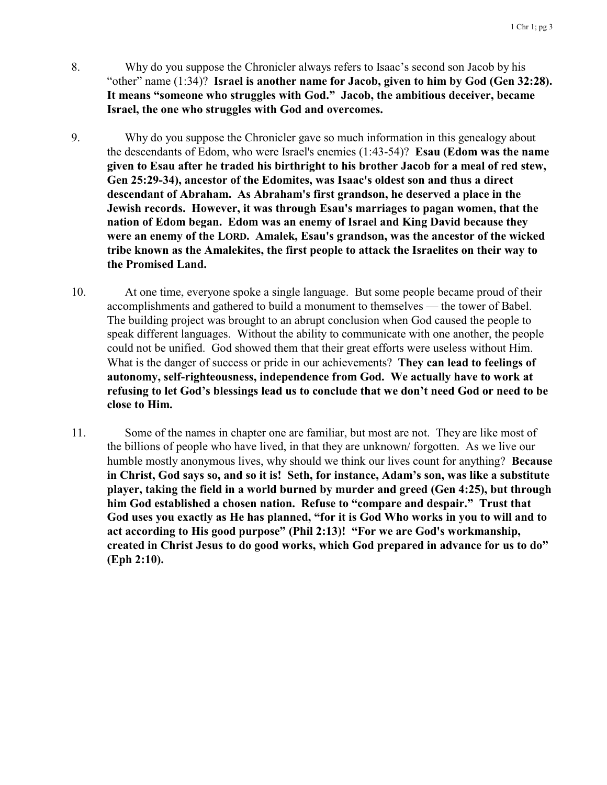- 8. Why do you suppose the Chronicler always refers to Isaac's second son Jacob by his "other" name (1:34)? **Israel is another name for Jacob, given to him by God (Gen 32:28). It means "someone who struggles with God." Jacob, the ambitious deceiver, became Israel, the one who struggles with God and overcomes.**
- 9. Why do you suppose the Chronicler gave so much information in this genealogy about the descendants of Edom, who were Israel's enemies (1:43-54)? **Esau (Edom was the name given to Esau after he traded his birthright to his brother Jacob for a meal of red stew, Gen 25:29-34), ancestor of the Edomites, was Isaac's oldest son and thus a direct descendant of Abraham. As Abraham's first grandson, he deserved a place in the Jewish records. However, it was through Esau's marriages to pagan women, that the nation of Edom began. Edom was an enemy of Israel and King David because they were an enemy of the LORD. Amalek, Esau's grandson, was the ancestor of the wicked tribe known as the Amalekites, the first people to attack the Israelites on their way to the Promised Land.**
- 10. At one time, everyone spoke a single language. But some people became proud of their accomplishments and gathered to build a monument to themselves — the tower of Babel. The building project was brought to an abrupt conclusion when God caused the people to speak different languages. Without the ability to communicate with one another, the people could not be unified. God showed them that their great efforts were useless without Him. What is the danger of success or pride in our achievements? **They can lead to feelings of autonomy, self-righteousness, independence from God. We actually have to work at refusing to let God's blessings lead us to conclude that we don't need God or need to be close to Him.**
- 11. Some of the names in chapter one are familiar, but most are not. They are like most of the billions of people who have lived, in that they are unknown/ forgotten. As we live our humble mostly anonymous lives, why should we think our lives count for anything? **Because in Christ, God says so, and so it is! Seth, for instance, Adam's son, was like a substitute player, taking the field in a world burned by murder and greed (Gen 4:25), but through him God established a chosen nation. Refuse to "compare and despair." Trust that God uses you exactly as He has planned, "for it is God Who works in you to will and to act according to His good purpose" (Phil 2:13)! "For we are God's workmanship, created in Christ Jesus to do good works, which God prepared in advance for us to do" (Eph 2:10).**